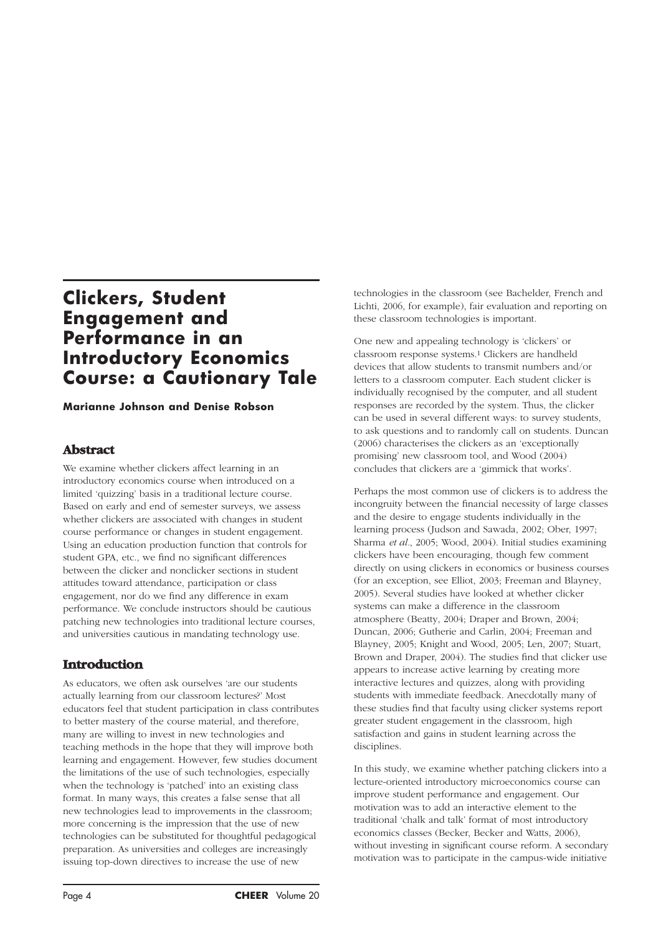# **Clickers, Student Engagement and Performance in an Introductory Economics Course: a Cautionary Tale**

**Marianne Johnson and Denise Robson**

### **Abstract**

We examine whether clickers affect learning in an introductory economics course when introduced on a limited 'quizzing' basis in a traditional lecture course. Based on early and end of semester surveys, we assess whether clickers are associated with changes in student course performance or changes in student engagement. Using an education production function that controls for student GPA, etc., we find no significant differences between the clicker and nonclicker sections in student attitudes toward attendance, participation or class engagement, nor do we find any difference in exam performance. We conclude instructors should be cautious patching new technologies into traditional lecture courses, and universities cautious in mandating technology use.

## **Introduction**

As educators, we often ask ourselves 'are our students actually learning from our classroom lectures?' Most educators feel that student participation in class contributes to better mastery of the course material, and therefore, many are willing to invest in new technologies and teaching methods in the hope that they will improve both learning and engagement. However, few studies document the limitations of the use of such technologies, especially when the technology is 'patched' into an existing class format. In many ways, this creates a false sense that all new technologies lead to improvements in the classroom; more concerning is the impression that the use of new technologies can be substituted for thoughtful pedagogical preparation. As universities and colleges are increasingly issuing top-down directives to increase the use of new

technologies in the classroom (see Bachelder, French and Lichti, 2006, for example), fair evaluation and reporting on these classroom technologies is important.

One new and appealing technology is 'clickers' or classroom response systems.1 Clickers are handheld devices that allow students to transmit numbers and/or letters to a classroom computer. Each student clicker is individually recognised by the computer, and all student responses are recorded by the system. Thus, the clicker can be used in several different ways: to survey students, to ask questions and to randomly call on students. Duncan (2006) characterises the clickers as an 'exceptionally promising' new classroom tool, and Wood (2004) concludes that clickers are a 'gimmick that works'.

Perhaps the most common use of clickers is to address the incongruity between the financial necessity of large classes and the desire to engage students individually in the learning process (Judson and Sawada, 2002; Ober, 1997; Sharma *et al.*, 2005; Wood, 2004). Initial studies examining clickers have been encouraging, though few comment directly on using clickers in economics or business courses (for an exception, see Elliot, 2003; Freeman and Blayney, 2005). Several studies have looked at whether clicker systems can make a difference in the classroom atmosphere (Beatty, 2004; Draper and Brown, 2004; Duncan, 2006; Gutherie and Carlin, 2004; Freeman and Blayney, 2005; Knight and Wood, 2005; Len, 2007; Stuart, Brown and Draper, 2004). The studies find that clicker use appears to increase active learning by creating more interactive lectures and quizzes, along with providing students with immediate feedback. Anecdotally many of these studies find that faculty using clicker systems report greater student engagement in the classroom, high satisfaction and gains in student learning across the disciplines.

In this study, we examine whether patching clickers into a lecture-oriented introductory microeconomics course can improve student performance and engagement. Our motivation was to add an interactive element to the traditional 'chalk and talk' format of most introductory economics classes (Becker, Becker and Watts, 2006), without investing in significant course reform. A secondary motivation was to participate in the campus-wide initiative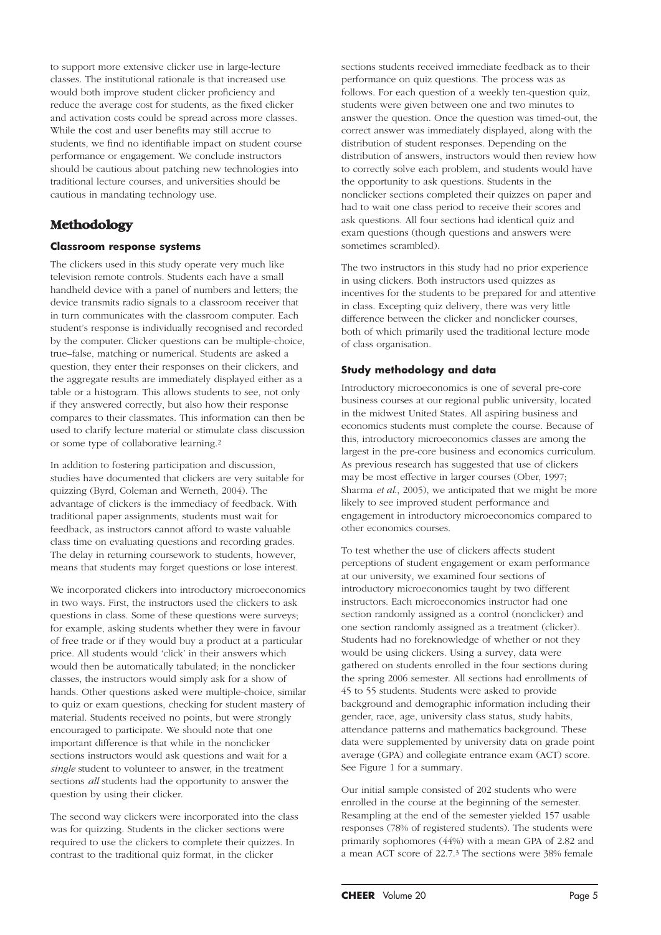to support more extensive clicker use in large-lecture classes. The institutional rationale is that increased use would both improve student clicker proficiency and reduce the average cost for students, as the fixed clicker and activation costs could be spread across more classes. While the cost and user benefits may still accrue to students, we find no identifiable impact on student course performance or engagement. We conclude instructors should be cautious about patching new technologies into traditional lecture courses, and universities should be cautious in mandating technology use.

## **Methodology**

#### **Classroom response systems**

The clickers used in this study operate very much like television remote controls. Students each have a small handheld device with a panel of numbers and letters; the device transmits radio signals to a classroom receiver that in turn communicates with the classroom computer. Each student's response is individually recognised and recorded by the computer. Clicker questions can be multiple-choice, true–false, matching or numerical. Students are asked a question, they enter their responses on their clickers, and the aggregate results are immediately displayed either as a table or a histogram. This allows students to see, not only if they answered correctly, but also how their response compares to their classmates. This information can then be used to clarify lecture material or stimulate class discussion or some type of collaborative learning.2

In addition to fostering participation and discussion, studies have documented that clickers are very suitable for quizzing (Byrd, Coleman and Werneth, 2004). The advantage of clickers is the immediacy of feedback. With traditional paper assignments, students must wait for feedback, as instructors cannot afford to waste valuable class time on evaluating questions and recording grades. The delay in returning coursework to students, however, means that students may forget questions or lose interest.

We incorporated clickers into introductory microeconomics in two ways. First, the instructors used the clickers to ask questions in class. Some of these questions were surveys; for example, asking students whether they were in favour of free trade or if they would buy a product at a particular price. All students would 'click' in their answers which would then be automatically tabulated; in the nonclicker classes, the instructors would simply ask for a show of hands. Other questions asked were multiple-choice, similar to quiz or exam questions, checking for student mastery of material. Students received no points, but were strongly encouraged to participate. We should note that one important difference is that while in the nonclicker sections instructors would ask questions and wait for a *single* student to volunteer to answer, in the treatment sections *all* students had the opportunity to answer the question by using their clicker.

The second way clickers were incorporated into the class was for quizzing. Students in the clicker sections were required to use the clickers to complete their quizzes. In contrast to the traditional quiz format, in the clicker

sections students received immediate feedback as to their performance on quiz questions. The process was as follows. For each question of a weekly ten-question quiz, students were given between one and two minutes to answer the question. Once the question was timed-out, the correct answer was immediately displayed, along with the distribution of student responses. Depending on the distribution of answers, instructors would then review how to correctly solve each problem, and students would have the opportunity to ask questions. Students in the nonclicker sections completed their quizzes on paper and had to wait one class period to receive their scores and ask questions. All four sections had identical quiz and exam questions (though questions and answers were sometimes scrambled).

The two instructors in this study had no prior experience in using clickers. Both instructors used quizzes as incentives for the students to be prepared for and attentive in class. Excepting quiz delivery, there was very little difference between the clicker and nonclicker courses, both of which primarily used the traditional lecture mode of class organisation.

### **Study methodology and data**

Introductory microeconomics is one of several pre-core business courses at our regional public university, located in the midwest United States. All aspiring business and economics students must complete the course. Because of this, introductory microeconomics classes are among the largest in the pre-core business and economics curriculum. As previous research has suggested that use of clickers may be most effective in larger courses (Ober, 1997; Sharma *et al*., 2005), we anticipated that we might be more likely to see improved student performance and engagement in introductory microeconomics compared to other economics courses.

To test whether the use of clickers affects student perceptions of student engagement or exam performance at our university, we examined four sections of introductory microeconomics taught by two different instructors. Each microeconomics instructor had one section randomly assigned as a control (nonclicker) and one section randomly assigned as a treatment (clicker). Students had no foreknowledge of whether or not they would be using clickers. Using a survey, data were gathered on students enrolled in the four sections during the spring 2006 semester. All sections had enrollments of 45 to 55 students. Students were asked to provide background and demographic information including their gender, race, age, university class status, study habits, attendance patterns and mathematics background. These data were supplemented by university data on grade point average (GPA) and collegiate entrance exam (ACT) score. See Figure 1 for a summary.

Our initial sample consisted of 202 students who were enrolled in the course at the beginning of the semester. Resampling at the end of the semester yielded 157 usable responses (78% of registered students). The students were primarily sophomores (44%) with a mean GPA of 2.82 and a mean ACT score of 22.7.3 The sections were 38% female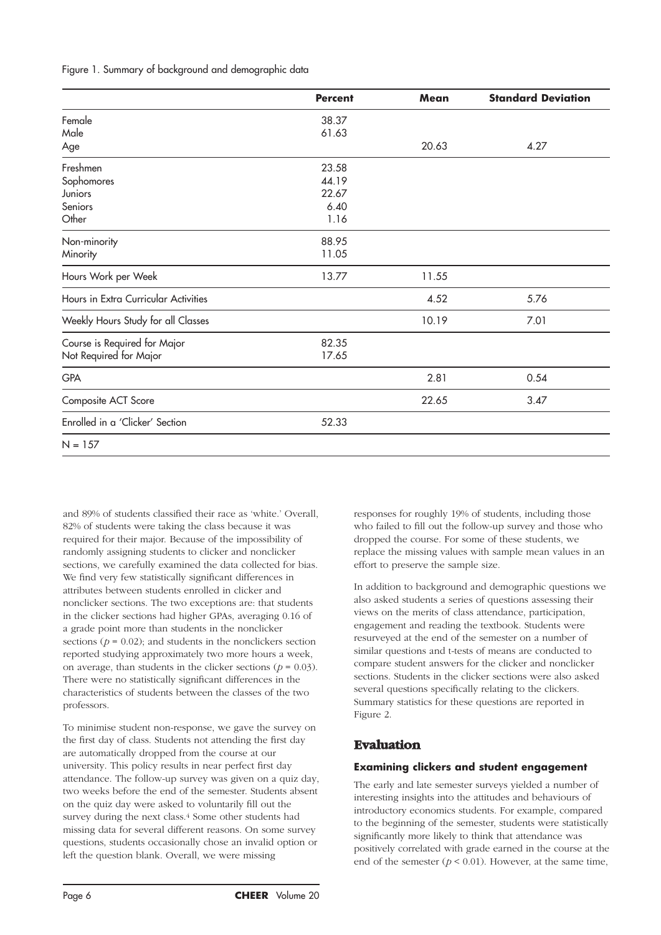Figure 1. Summary of background and demographic data

|                                      | <b>Percent</b> | Mean  | <b>Standard Deviation</b> |
|--------------------------------------|----------------|-------|---------------------------|
| Female                               | 38.37          |       |                           |
| Male                                 | 61.63          |       |                           |
| Age                                  |                | 20.63 | 4.27                      |
| Freshmen                             | 23.58          |       |                           |
| Sophomores                           | 44.19          |       |                           |
| Juniors                              | 22.67          |       |                           |
| Seniors                              | 6.40           |       |                           |
| Other                                | 1.16           |       |                           |
| Non-minority                         | 88.95          |       |                           |
| Minority                             | 11.05          |       |                           |
| Hours Work per Week                  | 13.77          | 11.55 |                           |
| Hours in Extra Curricular Activities |                | 4.52  | 5.76                      |
| Weekly Hours Study for all Classes   |                | 10.19 | 7.01                      |
| Course is Required for Major         | 82.35          |       |                           |
| Not Required for Major               | 17.65          |       |                           |
| <b>GPA</b>                           |                | 2.81  | 0.54                      |
| Composite ACT Score                  |                | 22.65 | 3.47                      |
| Enrolled in a 'Clicker' Section      | 52.33          |       |                           |
| $N = 157$                            |                |       |                           |

and 89% of students classified their race as 'white.' Overall, 82% of students were taking the class because it was required for their major. Because of the impossibility of randomly assigning students to clicker and nonclicker sections, we carefully examined the data collected for bias. We find very few statistically significant differences in attributes between students enrolled in clicker and nonclicker sections. The two exceptions are: that students in the clicker sections had higher GPAs, averaging 0.16 of a grade point more than students in the nonclicker sections  $(p = 0.02)$ ; and students in the nonclickers section reported studying approximately two more hours a week, on average, than students in the clicker sections ( $p = 0.03$ ). There were no statistically significant differences in the characteristics of students between the classes of the two professors.

To minimise student non-response, we gave the survey on the first day of class. Students not attending the first day are automatically dropped from the course at our university. This policy results in near perfect first day attendance. The follow-up survey was given on a quiz day, two weeks before the end of the semester. Students absent on the quiz day were asked to voluntarily fill out the survey during the next class.4 Some other students had missing data for several different reasons. On some survey questions, students occasionally chose an invalid option or left the question blank. Overall, we were missing

responses for roughly 19% of students, including those who failed to fill out the follow-up survey and those who dropped the course. For some of these students, we replace the missing values with sample mean values in an effort to preserve the sample size.

In addition to background and demographic questions we also asked students a series of questions assessing their views on the merits of class attendance, participation, engagement and reading the textbook. Students were resurveyed at the end of the semester on a number of similar questions and t-tests of means are conducted to compare student answers for the clicker and nonclicker sections. Students in the clicker sections were also asked several questions specifically relating to the clickers. Summary statistics for these questions are reported in Figure 2.

# **Evaluation**

#### **Examining clickers and student engagement**

The early and late semester surveys yielded a number of interesting insights into the attitudes and behaviours of introductory economics students. For example, compared to the beginning of the semester, students were statistically significantly more likely to think that attendance was positively correlated with grade earned in the course at the end of the semester  $(p < 0.01)$ . However, at the same time,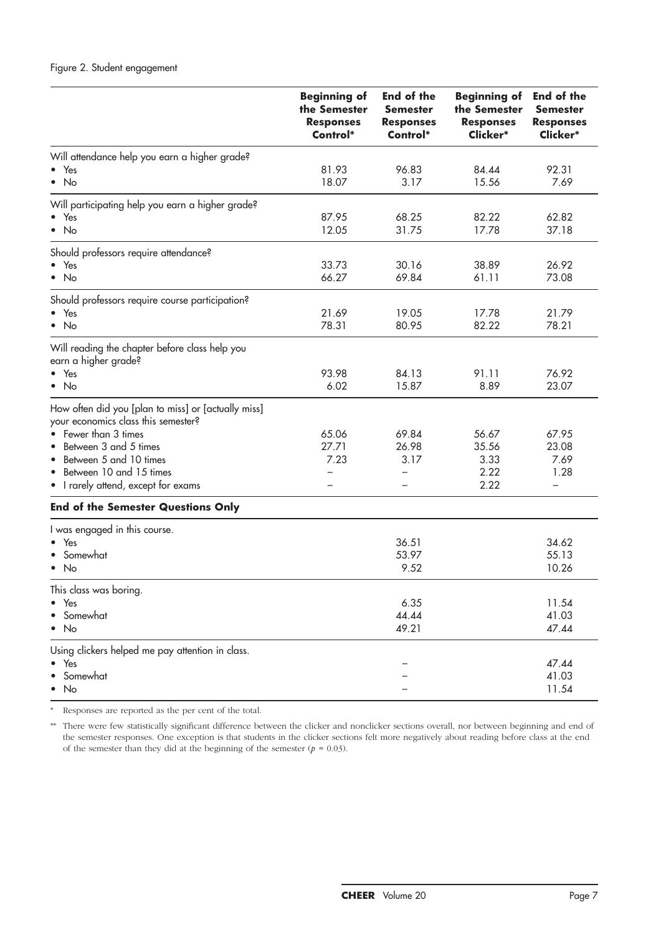## Figure 2. Student engagement

|                                                                                            | <b>Beginning of</b><br>the Semester<br><b>Responses</b><br>Control* | <b>End of the</b><br><b>Semester</b><br><b>Responses</b><br>Control* | <b>Beginning of</b><br>the Semester<br><b>Responses</b><br>Clicker* | <b>End of the</b><br>Semester<br><b>Responses</b><br>Clicker* |
|--------------------------------------------------------------------------------------------|---------------------------------------------------------------------|----------------------------------------------------------------------|---------------------------------------------------------------------|---------------------------------------------------------------|
| Will attendance help you earn a higher grade?                                              |                                                                     |                                                                      |                                                                     |                                                               |
| Yes                                                                                        | 81.93                                                               | 96.83                                                                | 84.44                                                               | 92.31                                                         |
| No<br>$\bullet$                                                                            | 18.07                                                               | 3.17                                                                 | 15.56                                                               | 7.69                                                          |
| Will participating help you earn a higher grade?                                           |                                                                     |                                                                      |                                                                     |                                                               |
| Yes                                                                                        | 87.95                                                               | 68.25                                                                | 82.22                                                               | 62.82                                                         |
| $\bullet$ No                                                                               | 12.05                                                               | 31.75                                                                | 17.78                                                               | 37.18                                                         |
| Should professors require attendance?                                                      |                                                                     |                                                                      |                                                                     |                                                               |
| • Yes                                                                                      | 33.73                                                               | 30.16                                                                | 38.89                                                               | 26.92                                                         |
| $\bullet$ No                                                                               | 66.27                                                               | 69.84                                                                | 61.11                                                               | 73.08                                                         |
| Should professors require course participation?                                            |                                                                     |                                                                      |                                                                     |                                                               |
| $\bullet$ Yes                                                                              | 21.69                                                               | 19.05                                                                | 17.78                                                               | 21.79                                                         |
| $\bullet$ No                                                                               | 78.31                                                               | 80.95                                                                | 82.22                                                               | 78.21                                                         |
| Will reading the chapter before class help you<br>earn a higher grade?                     |                                                                     |                                                                      |                                                                     |                                                               |
| $\bullet$ Yes                                                                              | 93.98                                                               | 84.13                                                                | 91.11                                                               | 76.92                                                         |
| $\bullet$ No                                                                               | 6.02                                                                | 15.87                                                                | 8.89                                                                | 23.07                                                         |
| How often did you [plan to miss] or [actually miss]<br>your economics class this semester? |                                                                     |                                                                      |                                                                     |                                                               |
| Fewer than 3 times                                                                         | 65.06                                                               | 69.84                                                                | 56.67                                                               | 67.95                                                         |
| Between 3 and 5 times                                                                      | 27.71                                                               | 26.98                                                                | 35.56                                                               | 23.08                                                         |
| Between 5 and 10 times                                                                     | 7.23                                                                | 3.17                                                                 | 3.33                                                                | 7.69                                                          |
| Between 10 and 15 times                                                                    |                                                                     |                                                                      | 2.22                                                                | 1.28                                                          |
| I rarely attend, except for exams<br>$\bullet$                                             |                                                                     |                                                                      | 2.22                                                                | $\overline{\phantom{0}}$                                      |
| <b>End of the Semester Questions Only</b>                                                  |                                                                     |                                                                      |                                                                     |                                                               |
| I was engaged in this course.                                                              |                                                                     |                                                                      |                                                                     |                                                               |
| Yes<br>$\bullet$                                                                           |                                                                     | 36.51                                                                |                                                                     | 34.62                                                         |
| Somewhat                                                                                   |                                                                     | 53.97                                                                |                                                                     | 55.13                                                         |
| No<br>$\bullet$                                                                            |                                                                     | 9.52                                                                 |                                                                     | 10.26                                                         |
| This class was boring.                                                                     |                                                                     |                                                                      |                                                                     |                                                               |
| Yes<br>$\bullet$                                                                           |                                                                     | 6.35                                                                 |                                                                     | 11.54                                                         |
| Somewhat                                                                                   |                                                                     | 44.44                                                                |                                                                     | 41.03                                                         |
| <b>No</b><br>٠                                                                             |                                                                     | 49.21                                                                |                                                                     | 47.44                                                         |
| Using clickers helped me pay attention in class.                                           |                                                                     |                                                                      |                                                                     |                                                               |
| Yes                                                                                        |                                                                     |                                                                      |                                                                     | 47.44                                                         |
| Somewhat                                                                                   |                                                                     |                                                                      |                                                                     | 41.03                                                         |
| No                                                                                         |                                                                     |                                                                      |                                                                     | 11.54                                                         |

\* Responses are reported as the per cent of the total.

\*\* There were few statistically significant difference between the clicker and nonclicker sections overall, nor between beginning and end of the semester responses. One exception is that students in the clicker sections felt more negatively about reading before class at the end of the semester than they did at the beginning of the semester  $(p = 0.03)$ .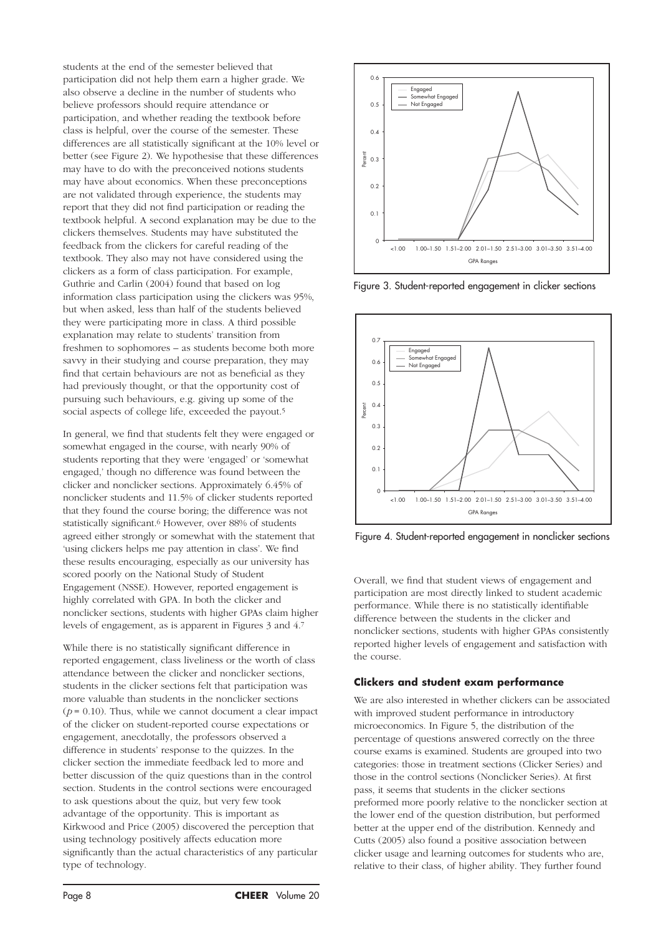students at the end of the semester believed that participation did not help them earn a higher grade. We also observe a decline in the number of students who believe professors should require attendance or participation, and whether reading the textbook before class is helpful, over the course of the semester. These differences are all statistically significant at the 10% level or better (see Figure 2). We hypothesise that these differences may have to do with the preconceived notions students may have about economics. When these preconceptions are not validated through experience, the students may report that they did not find participation or reading the textbook helpful. A second explanation may be due to the clickers themselves. Students may have substituted the feedback from the clickers for careful reading of the textbook. They also may not have considered using the clickers as a form of class participation. For example, Guthrie and Carlin (2004) found that based on log information class participation using the clickers was 95%, but when asked, less than half of the students believed they were participating more in class. A third possible explanation may relate to students' transition from freshmen to sophomores – as students become both more savvy in their studying and course preparation, they may find that certain behaviours are not as beneficial as they had previously thought, or that the opportunity cost of pursuing such behaviours, e.g. giving up some of the social aspects of college life, exceeded the payout.<sup>5</sup>

In general, we find that students felt they were engaged or somewhat engaged in the course, with nearly 90% of students reporting that they were 'engaged' or 'somewhat engaged,' though no difference was found between the clicker and nonclicker sections. Approximately 6.45% of nonclicker students and 11.5% of clicker students reported that they found the course boring; the difference was not statistically significant.6 However, over 88% of students agreed either strongly or somewhat with the statement that 'using clickers helps me pay attention in class'. We find these results encouraging, especially as our university has scored poorly on the National Study of Student Engagement (NSSE). However, reported engagement is highly correlated with GPA. In both the clicker and nonclicker sections, students with higher GPAs claim higher levels of engagement, as is apparent in Figures 3 and 4.7

While there is no statistically significant difference in reported engagement, class liveliness or the worth of class attendance between the clicker and nonclicker sections, students in the clicker sections felt that participation was more valuable than students in the nonclicker sections  $(p = 0.10)$ . Thus, while we cannot document a clear impact of the clicker on student-reported course expectations or engagement, anecdotally, the professors observed a difference in students' response to the quizzes. In the clicker section the immediate feedback led to more and better discussion of the quiz questions than in the control section. Students in the control sections were encouraged to ask questions about the quiz, but very few took advantage of the opportunity. This is important as Kirkwood and Price (2005) discovered the perception that using technology positively affects education more significantly than the actual characteristics of any particular type of technology.



Figure 3. Student-reported engagement in clicker sections



Figure 4. Student-reported engagement in nonclicker sections

Overall, we find that student views of engagement and participation are most directly linked to student academic performance. While there is no statistically identifiable difference between the students in the clicker and nonclicker sections, students with higher GPAs consistently reported higher levels of engagement and satisfaction with the course.

#### **Clickers and student exam performance**

We are also interested in whether clickers can be associated with improved student performance in introductory microeconomics. In Figure 5, the distribution of the percentage of questions answered correctly on the three course exams is examined. Students are grouped into two categories: those in treatment sections (Clicker Series) and those in the control sections (Nonclicker Series). At first pass, it seems that students in the clicker sections preformed more poorly relative to the nonclicker section at the lower end of the question distribution, but performed better at the upper end of the distribution. Kennedy and Cutts (2005) also found a positive association between clicker usage and learning outcomes for students who are, relative to their class, of higher ability. They further found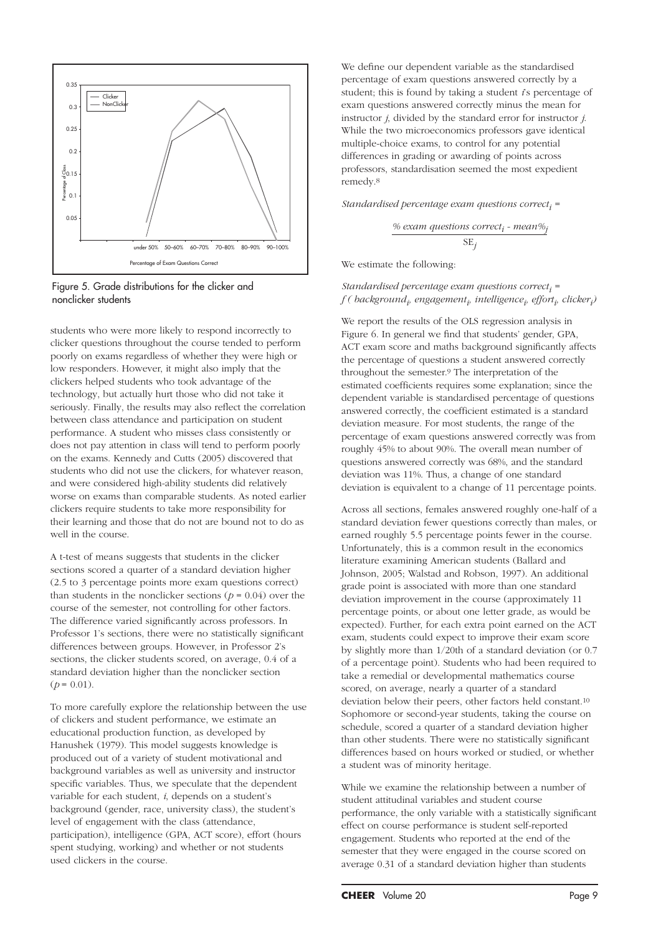

Figure 5. Grade distributions for the clicker and nonclicker students

students who were more likely to respond incorrectly to clicker questions throughout the course tended to perform poorly on exams regardless of whether they were high or low responders. However, it might also imply that the clickers helped students who took advantage of the technology, but actually hurt those who did not take it seriously. Finally, the results may also reflect the correlation between class attendance and participation on student performance. A student who misses class consistently or does not pay attention in class will tend to perform poorly on the exams. Kennedy and Cutts (2005) discovered that students who did not use the clickers, for whatever reason, and were considered high-ability students did relatively worse on exams than comparable students. As noted earlier clickers require students to take more responsibility for their learning and those that do not are bound not to do as well in the course.

A t-test of means suggests that students in the clicker sections scored a quarter of a standard deviation higher (2.5 to 3 percentage points more exam questions correct) than students in the nonclicker sections ( $p = 0.04$ ) over the course of the semester, not controlling for other factors. The difference varied significantly across professors. In Professor 1's sections, there were no statistically significant differences between groups. However, in Professor 2's sections, the clicker students scored, on average, 0.4 of a standard deviation higher than the nonclicker section  $(p = 0.01)$ .

To more carefully explore the relationship between the use of clickers and student performance, we estimate an educational production function, as developed by Hanushek (1979). This model suggests knowledge is produced out of a variety of student motivational and background variables as well as university and instructor specific variables. Thus, we speculate that the dependent variable for each student, *i*, depends on a student's background (gender, race, university class), the student's level of engagement with the class (attendance, participation), intelligence (GPA, ACT score), effort (hours spent studying, working) and whether or not students used clickers in the course.

We define our dependent variable as the standardised percentage of exam questions answered correctly by a student; this is found by taking a student *i*'s percentage of exam questions answered correctly minus the mean for instructor *j*, divided by the standard error for instructor *j*. While the two microeconomics professors gave identical multiple-choice exams, to control for any potential differences in grading or awarding of points across professors, standardisation seemed the most expedient remedy.8

*Standardised percentage exam questions correcti =* 

$$
\frac{\%~exam~questions~correct_i - mean\%_j}{SE_j}
$$

We estimate the following:

#### *Standardised percentage exam questions correcti =*  $f$  ( background<sub>i</sub>, engagement<sub>i</sub>, intelligence<sub>i</sub>, effort<sub>i</sub>, clicker<sub>i</sub>)

We report the results of the OLS regression analysis in Figure 6. In general we find that students' gender, GPA, ACT exam score and maths background significantly affects the percentage of questions a student answered correctly throughout the semester.9 The interpretation of the estimated coefficients requires some explanation; since the dependent variable is standardised percentage of questions answered correctly, the coefficient estimated is a standard deviation measure. For most students, the range of the percentage of exam questions answered correctly was from roughly 45% to about 90%. The overall mean number of questions answered correctly was 68%, and the standard deviation was 11%. Thus, a change of one standard deviation is equivalent to a change of 11 percentage points.

Across all sections, females answered roughly one-half of a standard deviation fewer questions correctly than males, or earned roughly 5.5 percentage points fewer in the course. Unfortunately, this is a common result in the economics literature examining American students (Ballard and Johnson, 2005; Walstad and Robson, 1997). An additional grade point is associated with more than one standard deviation improvement in the course (approximately 11 percentage points, or about one letter grade, as would be expected). Further, for each extra point earned on the ACT exam, students could expect to improve their exam score by slightly more than 1/20th of a standard deviation (or 0.7 of a percentage point). Students who had been required to take a remedial or developmental mathematics course scored, on average, nearly a quarter of a standard deviation below their peers, other factors held constant.10 Sophomore or second-year students, taking the course on schedule, scored a quarter of a standard deviation higher than other students. There were no statistically significant differences based on hours worked or studied, or whether a student was of minority heritage.

While we examine the relationship between a number of student attitudinal variables and student course performance, the only variable with a statistically significant effect on course performance is student self-reported engagement. Students who reported at the end of the semester that they were engaged in the course scored on average 0.31 of a standard deviation higher than students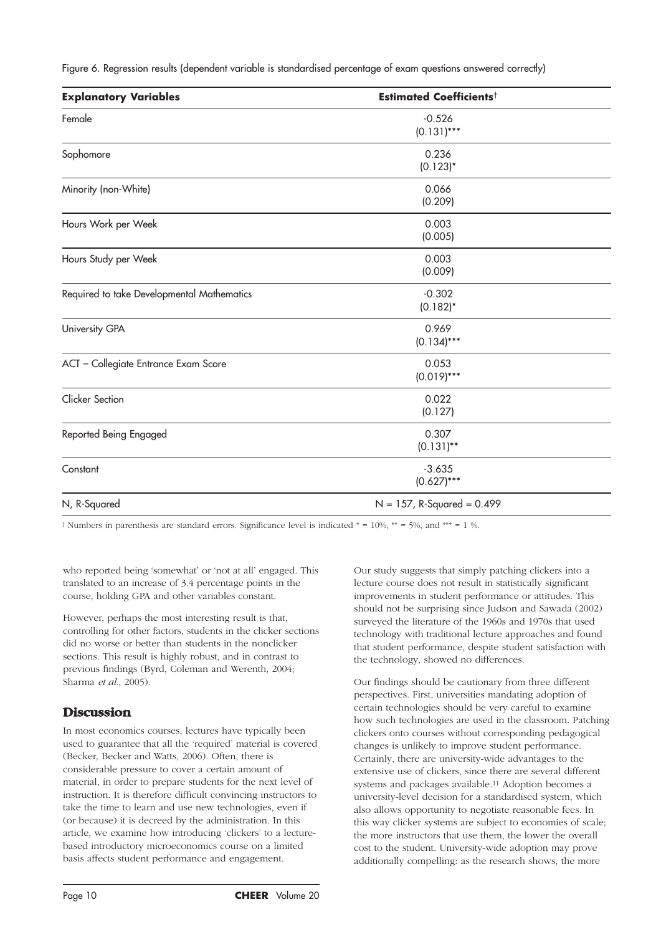Figure 6. Regression results (dependent variable is standardised percentage of exam questions answered correctly)

| <b>Explanatory Variables</b>               | <b>Estimated Coefficients<sup>t</sup></b> |  |  |
|--------------------------------------------|-------------------------------------------|--|--|
| Female                                     | $-0.526$<br>$(0.131)***$                  |  |  |
| Sophomore                                  | 0.236<br>$(0.123)^*$                      |  |  |
| Minority (non-White)                       | 0.066<br>(0.209)                          |  |  |
| Hours Work per Week                        | 0.003<br>(0.005)                          |  |  |
| Hours Study per Week                       | 0.003<br>(0.009)                          |  |  |
| Required to take Developmental Mathematics | $-0.302$<br>$(0.182)^*$                   |  |  |
| University GPA                             | 0.969<br>$(0.134)$ ***                    |  |  |
| ACT - Collegiate Entrance Exam Score       | 0.053<br>$(0.019)$ ***                    |  |  |
| <b>Clicker Section</b>                     | 0.022<br>(0.127)                          |  |  |
| Reported Being Engaged                     | 0.307<br>$(0.131)$ **                     |  |  |
| Constant                                   | $-3.635$<br>$(0.627)$ ***                 |  |  |
| N, R-Squared                               | $N = 157$ , R-Squared = 0.499             |  |  |

† Numbers in parenthesis are standard errors. Significance level is indicated \* = 10%, \*\* = 5%, and \*\*\* = 1 %.

who reported being 'somewhat' or 'not at all' engaged. This translated to an increase of 3.4 percentage points in the course, holding GPA and other variables constant.

However, perhaps the most interesting result is that, controlling for other factors, students in the clicker sections did no worse or better than students in the nonclicker sections. This result is highly robust, and in contrast to previous findings (Byrd, Coleman and Werenth, 2004; Sharma *et al*., 2005).

## **Discussion**

In most economics courses, lectures have typically been used to guarantee that all the 'required' material is covered (Becker, Becker and Watts, 2006). Often, there is considerable pressure to cover a certain amount of material, in order to prepare students for the next level of instruction. It is therefore difficult convincing instructors to take the time to learn and use new technologies, even if (or because) it is decreed by the administration. In this article, we examine how introducing 'clickers' to a lecturebased introductory microeconomics course on a limited basis affects student performance and engagement.

Our study suggests that simply patching clickers into a lecture course does not result in statistically significant improvements in student performance or attitudes. This should not be surprising since Judson and Sawada (2002) surveyed the literature of the 1960s and 1970s that used technology with traditional lecture approaches and found that student performance, despite student satisfaction with the technology, showed no differences.

Our findings should be cautionary from three different perspectives. First, universities mandating adoption of certain technologies should be very careful to examine how such technologies are used in the classroom. Patching clickers onto courses without corresponding pedagogical changes is unlikely to improve student performance. Certainly, there are university-wide advantages to the extensive use of clickers, since there are several different systems and packages available.11 Adoption becomes a university-level decision for a standardised system, which also allows opportunity to negotiate reasonable fees. In this way clicker systems are subject to economies of scale; the more instructors that use them, the lower the overall cost to the student. University-wide adoption may prove additionally compelling: as the research shows, the more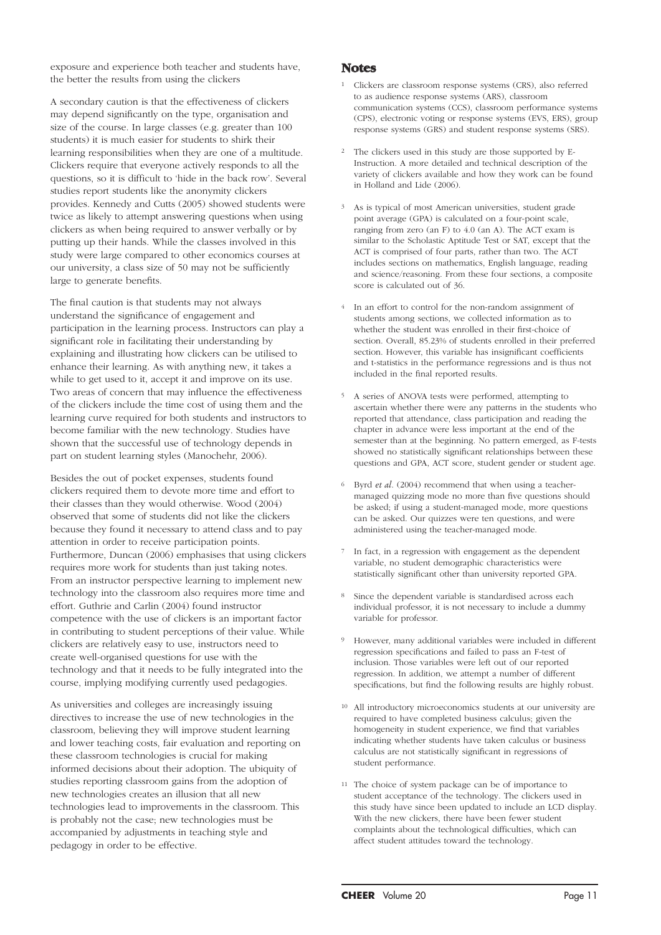exposure and experience both teacher and students have, the better the results from using the clickers

A secondary caution is that the effectiveness of clickers may depend significantly on the type, organisation and size of the course. In large classes (e.g. greater than 100 students) it is much easier for students to shirk their learning responsibilities when they are one of a multitude. Clickers require that everyone actively responds to all the questions, so it is difficult to 'hide in the back row'. Several studies report students like the anonymity clickers provides. Kennedy and Cutts (2005) showed students were twice as likely to attempt answering questions when using clickers as when being required to answer verbally or by putting up their hands. While the classes involved in this study were large compared to other economics courses at our university, a class size of 50 may not be sufficiently large to generate benefits.

The final caution is that students may not always understand the significance of engagement and participation in the learning process. Instructors can play a significant role in facilitating their understanding by explaining and illustrating how clickers can be utilised to enhance their learning. As with anything new, it takes a while to get used to it, accept it and improve on its use. Two areas of concern that may influence the effectiveness of the clickers include the time cost of using them and the learning curve required for both students and instructors to become familiar with the new technology. Studies have shown that the successful use of technology depends in part on student learning styles (Manochehr, 2006).

Besides the out of pocket expenses, students found clickers required them to devote more time and effort to their classes than they would otherwise. Wood (2004) observed that some of students did not like the clickers because they found it necessary to attend class and to pay attention in order to receive participation points. Furthermore, Duncan (2006) emphasises that using clickers requires more work for students than just taking notes. From an instructor perspective learning to implement new technology into the classroom also requires more time and effort. Guthrie and Carlin (2004) found instructor competence with the use of clickers is an important factor in contributing to student perceptions of their value. While clickers are relatively easy to use, instructors need to create well-organised questions for use with the technology and that it needs to be fully integrated into the course, implying modifying currently used pedagogies.

As universities and colleges are increasingly issuing directives to increase the use of new technologies in the classroom, believing they will improve student learning and lower teaching costs, fair evaluation and reporting on these classroom technologies is crucial for making informed decisions about their adoption. The ubiquity of studies reporting classroom gains from the adoption of new technologies creates an illusion that all new technologies lead to improvements in the classroom. This is probably not the case; new technologies must be accompanied by adjustments in teaching style and pedagogy in order to be effective.

#### **Notes**

- <sup>1</sup> Clickers are classroom response systems (CRS), also referred to as audience response systems (ARS), classroom communication systems (CCS), classroom performance systems (CPS), electronic voting or response systems (EVS, ERS), group response systems (GRS) and student response systems (SRS).
- <sup>2</sup> The clickers used in this study are those supported by E-Instruction. A more detailed and technical description of the variety of clickers available and how they work can be found in Holland and Lide (2006).
- <sup>3</sup> As is typical of most American universities, student grade point average (GPA) is calculated on a four-point scale, ranging from zero (an F) to 4.0 (an A). The ACT exam is similar to the Scholastic Aptitude Test or SAT, except that the ACT is comprised of four parts, rather than two. The ACT includes sections on mathematics, English language, reading and science/reasoning. From these four sections, a composite score is calculated out of 36.
- <sup>4</sup> In an effort to control for the non-random assignment of students among sections, we collected information as to whether the student was enrolled in their first-choice of section. Overall, 85.23% of students enrolled in their preferred section. However, this variable has insignificant coefficients and t-statistics in the performance regressions and is thus not included in the final reported results.
- 5 A series of ANOVA tests were performed, attempting to ascertain whether there were any patterns in the students who reported that attendance, class participation and reading the chapter in advance were less important at the end of the semester than at the beginning. No pattern emerged, as F-tests showed no statistically significant relationships between these questions and GPA, ACT score, student gender or student age.
- <sup>6</sup> Byrd *et al*. (2004) recommend that when using a teachermanaged quizzing mode no more than five questions should be asked; if using a student-managed mode, more questions can be asked. Our quizzes were ten questions, and were administered using the teacher-managed mode.
- 7 In fact, in a regression with engagement as the dependent variable, no student demographic characteristics were statistically significant other than university reported GPA.
- Since the dependent variable is standardised across each individual professor, it is not necessary to include a dummy variable for professor.
- 9 However, many additional variables were included in different regression specifications and failed to pass an F-test of inclusion. Those variables were left out of our reported regression. In addition, we attempt a number of different specifications, but find the following results are highly robust.
- <sup>10</sup> All introductory microeconomics students at our university are required to have completed business calculus; given the homogeneity in student experience, we find that variables indicating whether students have taken calculus or business calculus are not statistically significant in regressions of student performance.
- <sup>11</sup> The choice of system package can be of importance to student acceptance of the technology. The clickers used in this study have since been updated to include an LCD display. With the new clickers, there have been fewer student complaints about the technological difficulties, which can affect student attitudes toward the technology.